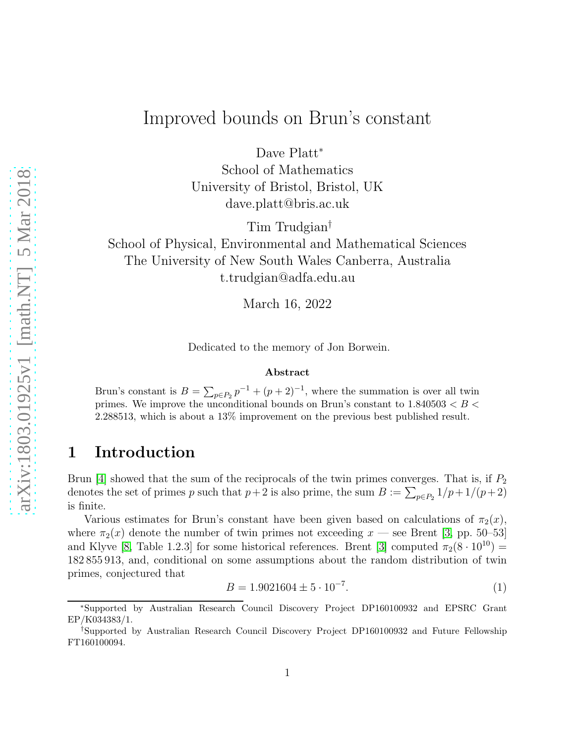# Improved bounds on Brun's constant

Dave Platt<sup>\*</sup>

School of Mathematics University of Bristol, Bristol, UK dave.platt@bris.ac.uk

Tim Trudgian†

School of Physical, Environmental and Mathematical Sciences The University of New South Wales Canberra, Australia t.trudgian@adfa.edu.au

March 16, 2022

Dedicated to the memory of Jon Borwein.

#### Abstract

Brun's constant is  $B = \sum_{p \in P_2} p^{-1} + (p+2)^{-1}$ , where the summation is over all twin primes. We improve the unconditional bounds on Brun's constant to  $1.840503 < B <$ 2.288513, which is about a 13% improvement on the previous best published result.

## 1 Introduction

Brun [\[4\]](#page-9-0) showed that the sum of the reciprocals of the twin primes converges. That is, if  $P_2$ denotes the set of primes p such that  $p+2$  is also prime, the sum  $B := \sum_{p \in P_2} 1/p + 1/(p+2)$ is finite.

Various estimates for Brun's constant have been given based on calculations of  $\pi_2(x)$ , where  $\pi_2(x)$  denote the number of twin primes not exceeding  $x$  — see Brent [\[3,](#page-9-1) pp. 50–53] and Klyve [\[8,](#page-9-2) Table 1.2.3] for some historical references. Brent [\[3\]](#page-9-1) computed  $\pi_2(8 \cdot 10^{10})$  = 182 855 913, and, conditional on some assumptions about the random distribution of twin primes, conjectured that

<span id="page-0-0"></span>
$$
B = 1.9021604 \pm 5 \cdot 10^{-7}.
$$
 (1)

<sup>∗</sup>Supported by Australian Research Council Discovery Project DP160100932 and EPSRC Grant EP/K034383/1.

<sup>†</sup>Supported by Australian Research Council Discovery Project DP160100932 and Future Fellowship FT160100094.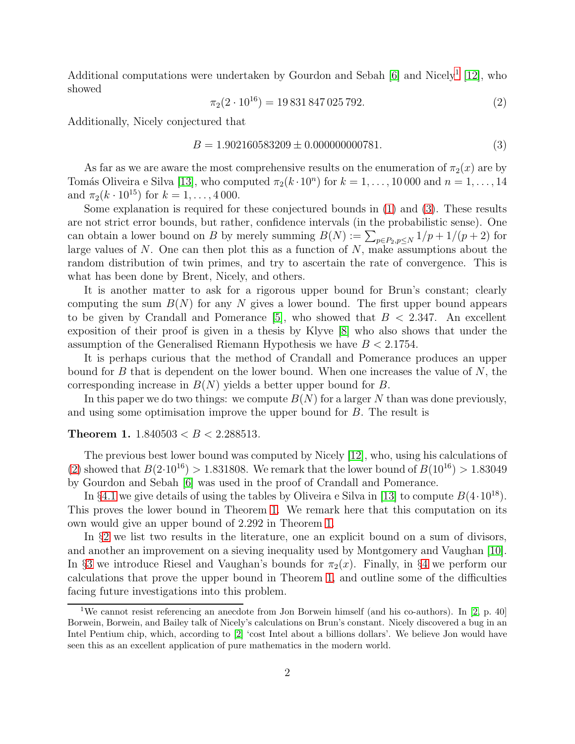Additional computations were undertaken by Gourdon and Sebah [\[6\]](#page-9-3) and Nicely<sup>[1](#page-1-0)</sup> [\[12\]](#page-10-0), who showed

<span id="page-1-2"></span>
$$
\pi_2(2 \cdot 10^{16}) = 19\,831\,847\,025\,792.\tag{2}
$$

Additionally, Nicely conjectured that

<span id="page-1-1"></span>
$$
B = 1.902160583209 \pm 0.000000000781. \tag{3}
$$

As far as we are aware the most comprehensive results on the enumeration of  $\pi_2(x)$  are by Tomás Oliveira e Silva [\[13\]](#page-10-1), who computed  $\pi_2(k \cdot 10^n)$  for  $k = 1, \ldots, 10000$  and  $n = 1, \ldots, 14$ and  $\pi_2(k \cdot 10^{15})$  for  $k = 1, ..., 4000$ .

Some explanation is required for these conjectured bounds in [\(1\)](#page-0-0) and [\(3\)](#page-1-1). These results are not strict error bounds, but rather, confidence intervals (in the probabilistic sense). One can obtain a lower bound on B by merely summing  $B(N) := \sum_{p \in P_2, p \le N} 1/p + 1/(p+2)$  for large values of N. One can then plot this as a function of N, make assumptions about the random distribution of twin primes, and try to ascertain the rate of convergence. This is what has been done by Brent, Nicely, and others.

It is another matter to ask for a rigorous upper bound for Brun's constant; clearly computing the sum  $B(N)$  for any N gives a lower bound. The first upper bound appears to be given by Crandall and Pomerance  $[5]$ , who showed that  $B < 2.347$ . An excellent exposition of their proof is given in a thesis by Klyve [\[8\]](#page-9-2) who also shows that under the assumption of the Generalised Riemann Hypothesis we have  $B < 2.1754$ .

It is perhaps curious that the method of Crandall and Pomerance produces an upper bound for  $B$  that is dependent on the lower bound. When one increases the value of  $N$ , the corresponding increase in  $B(N)$  yields a better upper bound for B.

In this paper we do two things: we compute  $B(N)$  for a larger N than was done previously, and using some optimisation improve the upper bound for B. The result is

#### <span id="page-1-3"></span>Theorem 1. 1.840503 < B < 2.288513*.*

The previous best lower bound was computed by Nicely [\[12\]](#page-10-0), who, using his calculations of [\(2\)](#page-1-2) showed that  $B(2.10^{16}) > 1.831808$ . We remark that the lower bound of  $B(10^{16}) > 1.83049$ by Gourdon and Sebah [\[6\]](#page-9-3) was used in the proof of Crandall and Pomerance.

In §[4.1](#page-6-0) we give details of using the tables by Oliveira e Silva in [\[13\]](#page-10-1) to compute  $B(4.10^{18})$ . This proves the lower bound in Theorem [1.](#page-1-3) We remark here that this computation on its own would give an upper bound of 2.292 in Theorem [1.](#page-1-3)

In §[2](#page-2-0) we list two results in the literature, one an explicit bound on a sum of divisors, and another an improvement on a sieving inequality used by Montgomery and Vaughan [\[10\]](#page-10-2). In §[3](#page-3-0) we introduce Riesel and Vaughan's bounds for  $\pi_2(x)$ . Finally, in §[4](#page-6-1) we perform our calculations that prove the upper bound in Theorem [1,](#page-1-3) and outline some of the difficulties facing future investigations into this problem.

<span id="page-1-0"></span><sup>&</sup>lt;sup>1</sup>We cannot resist referencing an anecdote from Jon Borwein himself (and his co-authors). In [\[2,](#page-9-5) p. 40] Borwein, Borwein, and Bailey talk of Nicely's calculations on Brun's constant. Nicely discovered a bug in an Intel Pentium chip, which, according to [\[2\]](#page-9-5) 'cost Intel about a billions dollars'. We believe Jon would have seen this as an excellent application of pure mathematics in the modern world.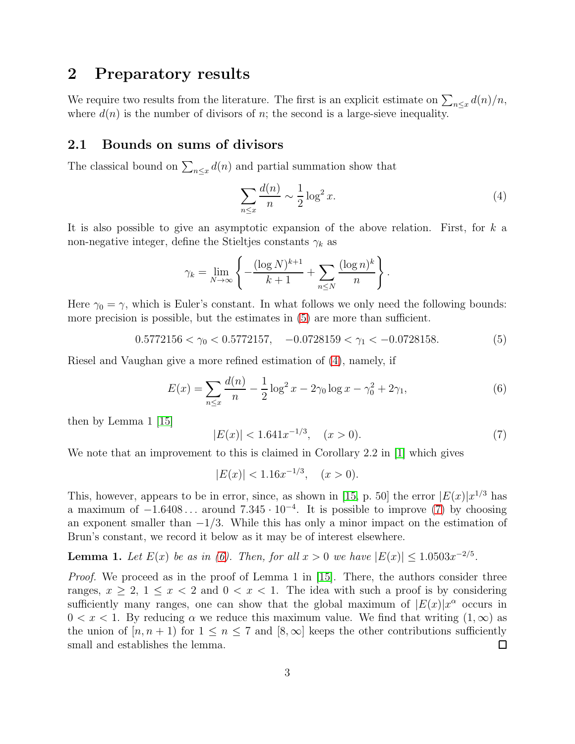## <span id="page-2-0"></span>2 Preparatory results

We require two results from the literature. The first is an explicit estimate on  $\sum_{n\leq x} d(n)/n$ , where  $d(n)$  is the number of divisors of n; the second is a large-sieve inequality.

### 2.1 Bounds on sums of divisors

The classical bound on  $\sum_{n\leq x} d(n)$  and partial summation show that

<span id="page-2-2"></span>
$$
\sum_{n \le x} \frac{d(n)}{n} \sim \frac{1}{2} \log^2 x. \tag{4}
$$

It is also possible to give an asymptotic expansion of the above relation. First, for k a non-negative integer, define the Stieltjes constants  $\gamma_k$  as

$$
\gamma_k = \lim_{N \to \infty} \left\{ -\frac{(\log N)^{k+1}}{k+1} + \sum_{n \leq N} \frac{(\log n)^k}{n} \right\}.
$$

Here  $\gamma_0 = \gamma$ , which is Euler's constant. In what follows we only need the following bounds: more precision is possible, but the estimates in [\(5\)](#page-2-1) are more than sufficient.

<span id="page-2-1"></span> $0.5772156 < \gamma_0 < 0.5772157$ ,  $-0.0728159 < \gamma_1 < -0.0728158$ . (5)

Riesel and Vaughan give a more refined estimation of [\(4\)](#page-2-2), namely, if

<span id="page-2-4"></span>
$$
E(x) = \sum_{n \le x} \frac{d(n)}{n} - \frac{1}{2} \log^2 x - 2\gamma_0 \log x - \gamma_0^2 + 2\gamma_1,\tag{6}
$$

then by Lemma 1 [\[15\]](#page-10-3)

<span id="page-2-3"></span>
$$
|E(x)| < 1.641x^{-1/3}, \quad (x > 0). \tag{7}
$$

We note that an improvement to this is claimed in Corollary 2.2 in |1| which gives

$$
|E(x)| < 1.16x^{-1/3}, \quad (x > 0).
$$

This, however, appears to be in error, since, as shown in [\[15,](#page-10-3) p. 50] the error  $|E(x)|x^{1/3}$  has a maximum of  $-1.6408...$  around  $7.345 \cdot 10^{-4}$ . It is possible to improve [\(7\)](#page-2-3) by choosing an exponent smaller than  $-1/3$ . While this has only a minor impact on the estimation of Brun's constant, we record it below as it may be of interest elsewhere.

### <span id="page-2-5"></span>**Lemma 1.** Let  $E(x)$  be as in [\(6\)](#page-2-4). Then, for all  $x > 0$  we have  $|E(x)| \le 1.0503x^{-2/5}$ .

*Proof.* We proceed as in the proof of Lemma 1 in [\[15\]](#page-10-3). There, the authors consider three ranges,  $x \geq 2$ ,  $1 \leq x < 2$  and  $0 < x < 1$ . The idea with such a proof is by considering sufficiently many ranges, one can show that the global maximum of  $|E(x)|x^{\alpha}$  occurs in  $0 < x < 1$ . By reducing  $\alpha$  we reduce this maximum value. We find that writing  $(1, \infty)$  as the union of  $[n, n + 1]$  for  $1 \leq n \leq 7$  and  $[8, \infty]$  keeps the other contributions sufficiently small and establishes the lemma.  $\Box$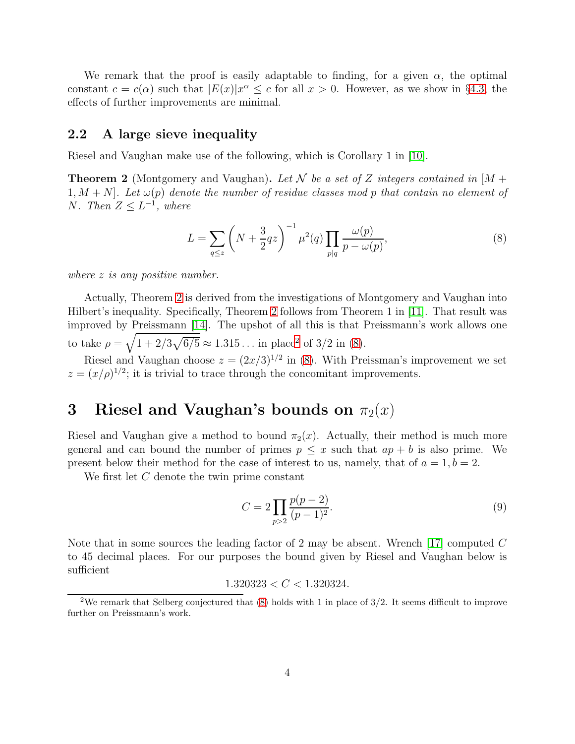We remark that the proof is easily adaptable to finding, for a given  $\alpha$ , the optimal constant  $c = c(\alpha)$  such that  $|E(x)|x^{\alpha} \leq c$  for all  $x > 0$ . However, as we show in §[4.3,](#page-8-0) the effects of further improvements are minimal.

### <span id="page-3-4"></span>2.2 A large sieve inequality

Riesel and Vaughan make use of the following, which is Corollary 1 in [\[10\]](#page-10-2).

<span id="page-3-1"></span>Theorem 2 (Montgomery and Vaughan). *Let* N *be a set of* Z *integers contained in* [M + 1,  $M + N$ *. Let*  $\omega(p)$  *denote the number of residue classes mod p that contain no element of* N. Then  $Z \leq L^{-1}$ , where

<span id="page-3-3"></span>
$$
L = \sum_{q \le z} \left( N + \frac{3}{2} q z \right)^{-1} \mu^2(q) \prod_{p \mid q} \frac{\omega(p)}{p - \omega(p)},\tag{8}
$$

*where* z *is any positive number.*

Actually, Theorem [2](#page-3-1) is derived from the investigations of Montgomery and Vaughan into Hilbert's inequality. Specifically, Theorem [2](#page-3-1) follows from Theorem 1 in [\[11\]](#page-10-4). That result was improved by Preissmann [\[14\]](#page-10-5). The upshot of all this is that Preissmann's work allows one to take  $\rho = \sqrt{1 + 2/3\sqrt{6/5}} \approx 1.315...$  $\rho = \sqrt{1 + 2/3\sqrt{6/5}} \approx 1.315...$  $\rho = \sqrt{1 + 2/3\sqrt{6/5}} \approx 1.315...$  in place<sup>2</sup> of 3/2 in [\(8\)](#page-3-3).

Riesel and Vaughan choose  $z = (2x/3)^{1/2}$  in [\(8\)](#page-3-3). With Preissman's improvement we set  $z = (x/\rho)^{1/2}$ ; it is trivial to trace through the concomitant improvements.

# <span id="page-3-0"></span>3 Riesel and Vaughan's bounds on  $\pi_2(x)$

Riesel and Vaughan give a method to bound  $\pi_2(x)$ . Actually, their method is much more general and can bound the number of primes  $p \leq x$  such that  $ap + b$  is also prime. We present below their method for the case of interest to us, namely, that of  $a = 1, b = 2$ .

We first let C denote the twin prime constant

<span id="page-3-5"></span>
$$
C = 2 \prod_{p>2} \frac{p(p-2)}{(p-1)^2}.
$$
\n(9)

Note that in some sources the leading factor of 2 may be absent. Wrench  $[17]$  computed C to 45 decimal places. For our purposes the bound given by Riesel and Vaughan below is sufficient

$$
1.320323 < C < 1.320324.
$$

<span id="page-3-2"></span><sup>&</sup>lt;sup>2</sup>We remark that Selberg conjectured that  $(8)$  holds with 1 in place of  $3/2$ . It seems difficult to improve further on Preissmann's work.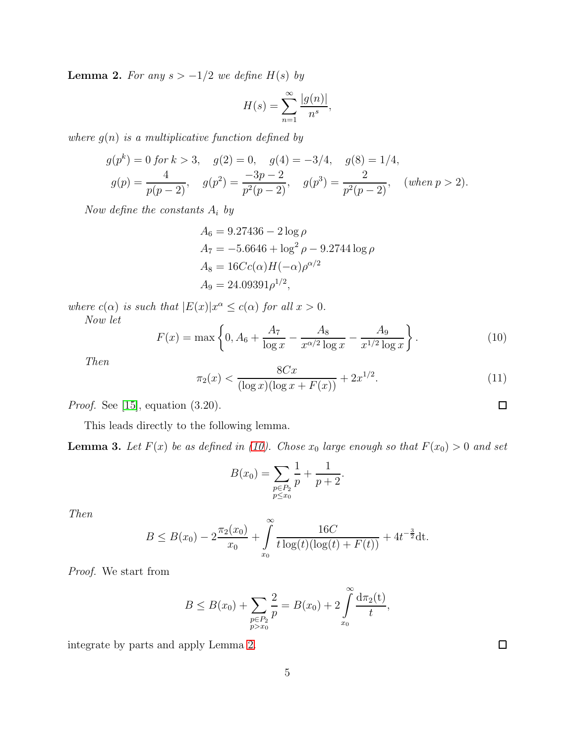<span id="page-4-1"></span>**Lemma 2.** For any  $s > -1/2$  we define  $H(s)$  by

$$
H(s) = \sum_{n=1}^{\infty} \frac{|g(n)|}{n^s},
$$

*where* g(n) *is a multiplicative function defined by*

$$
g(p^k) = 0 \text{ for } k > 3, \quad g(2) = 0, \quad g(4) = -3/4, \quad g(8) = 1/4,
$$
  

$$
g(p) = \frac{4}{p(p-2)}, \quad g(p^2) = \frac{-3p-2}{p^2(p-2)}, \quad g(p^3) = \frac{2}{p^2(p-2)}, \quad (\text{when } p > 2).
$$

*Now define the constants* A<sup>i</sup> *by*

$$
A_6 = 9.27436 - 2 \log \rho
$$
  
\n
$$
A_7 = -5.6646 + \log^2 \rho - 9.2744 \log \rho
$$
  
\n
$$
A_8 = 16Cc(\alpha)H(-\alpha)\rho^{\alpha/2}
$$
  
\n
$$
A_9 = 24.09391\rho^{1/2},
$$

*where*  $c(\alpha)$  *is such that*  $|E(x)|x^{\alpha} \leq c(\alpha)$  *for all*  $x > 0$ *.* 

*Now let*

<span id="page-4-0"></span>
$$
F(x) = \max\left\{0, A_6 + \frac{A_7}{\log x} - \frac{A_8}{x^{\alpha/2} \log x} - \frac{A_9}{x^{1/2} \log x}\right\}.
$$
 (10)

*Then*

<span id="page-4-3"></span>
$$
\pi_2(x) < \frac{8Cx}{(\log x)(\log x + F(x))} + 2x^{1/2}.\tag{11}
$$

*Proof.* See [\[15\]](#page-10-3), equation (3.20).

This leads directly to the following lemma.

<span id="page-4-2"></span>**Lemma 3.** Let  $F(x)$  be as defined in [\(10\)](#page-4-0). Chose  $x_0$  large enough so that  $F(x_0) > 0$  and set

$$
B(x_0) = \sum_{\substack{p \in P_2 \\ p \le x_0}} \frac{1}{p} + \frac{1}{p+2}.
$$

*Then*

$$
B \leq B(x_0) - 2\frac{\pi_2(x_0)}{x_0} + \int_{x_0}^{\infty} \frac{16C}{t \log(t)(\log(t) + F(t))} + 4t^{-\frac{3}{2}} dt.
$$

*Proof.* We start from

$$
B \leq B(x_0) + \sum_{\substack{p \in P_2 \\ p > x_0}} \frac{2}{p} = B(x_0) + 2 \int_{x_0}^{\infty} \frac{d\pi_2(t)}{t},
$$

integrate by parts and apply Lemma [2.](#page-4-1)

 $\Box$ 

 $\Box$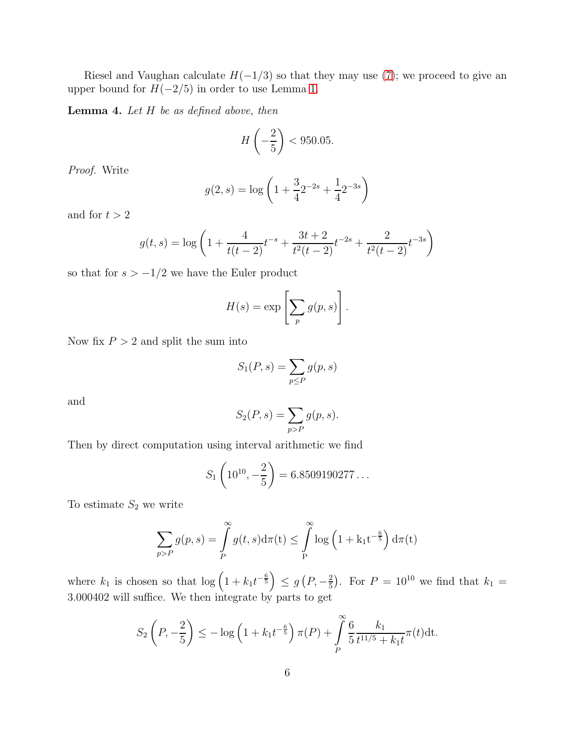Riesel and Vaughan calculate  $H(-1/3)$  so that they may use [\(7\)](#page-2-3); we proceed to give an upper bound for  $H(-2/5)$  in order to use Lemma [1.](#page-2-5)

<span id="page-5-0"></span>Lemma 4. *Let* H *be as defined above, then*

$$
H\left(-\frac{2}{5}\right) < 950.05.
$$

*Proof.* Write

$$
g(2, s) = \log\left(1 + \frac{3}{4}2^{-2s} + \frac{1}{4}2^{-3s}\right)
$$

and for  $t>2$ 

$$
g(t,s) = \log\left(1 + \frac{4}{t(t-2)}t^{-s} + \frac{3t+2}{t^2(t-2)}t^{-2s} + \frac{2}{t^2(t-2)}t^{-3s}\right)
$$

so that for  $s > -1/2$  we have the Euler product

$$
H(s) = \exp\left[\sum_{p} g(p, s)\right].
$$

Now fix  $P > 2$  and split the sum into

$$
S_1(P,s) = \sum_{p \le P} g(p,s)
$$

and

$$
S_2(P, s) = \sum_{p > P} g(p, s).
$$

Then by direct computation using interval arithmetic we find

$$
S_1\left(10^{10}, -\frac{2}{5}\right) = 6.8509190277\dots
$$

To estimate  $S_2$  we write

$$
\sum_{p>P} g(p,s) = \int_{P}^{\infty} g(t,s) d\pi(t) \leq \int_{P}^{\infty} \log\left(1 + k_1 t^{-\frac{6}{5}}\right) d\pi(t)
$$

where  $k_1$  is chosen so that  $\log\left(1 + k_1 t^{-\frac{6}{5}}\right) \leq g\left(P, -\frac{2}{5}\right)$  $(\frac{2}{5})$ . For  $P = 10^{10}$  we find that  $k_1 =$ 3.000402 will suffice. We then integrate by parts to get

$$
S_2\left(P, -\frac{2}{5}\right) \le -\log\left(1 + k_1 t^{-\frac{6}{5}}\right) \pi(P) + \int\limits_P^{\infty} \frac{6}{5} \frac{k_1}{t^{11/5} + k_1 t} \pi(t) dt.
$$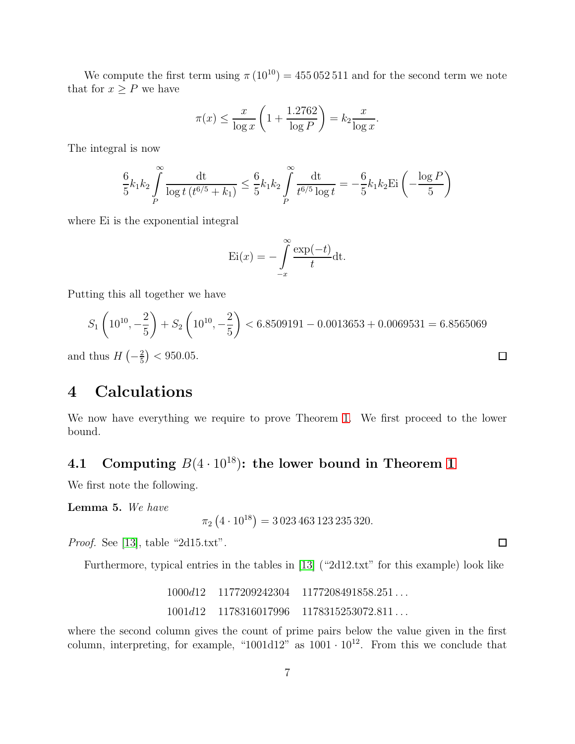We compute the first term using  $\pi (10^{10}) = 455 052 511$  and for the second term we note that for  $x \geq P$  we have

$$
\pi(x) \le \frac{x}{\log x} \left( 1 + \frac{1.2762}{\log P} \right) = k_2 \frac{x}{\log x}.
$$

The integral is now

$$
\frac{6}{5}k_1k_2\int\limits_P^{\infty}\frac{\mathrm{dt}}{\log t\,(t^{6/5}+k_1)} \leq \frac{6}{5}k_1k_2\int\limits_P^{\infty}\frac{\mathrm{dt}}{t^{6/5}\log t} = -\frac{6}{5}k_1k_2\mathrm{Ei}\left(-\frac{\log P}{5}\right)
$$

where Ei is the exponential integral

$$
\mathrm{Ei}(x) = -\int_{-x}^{\infty} \frac{\exp(-t)}{t} \mathrm{dt}.
$$

Putting this all together we have

$$
S_1\left(10^{10}, -\frac{2}{5}\right) + S_2\left(10^{10}, -\frac{2}{5}\right) < 6.8509191 - 0.0013653 + 0.0069531 = 6.8565069
$$

and thus  $H\left(-\frac{2}{5}\right)$  $(\frac{2}{5})$  < 950.05.

## <span id="page-6-1"></span>4 Calculations

We now have everything we require to prove Theorem [1.](#page-1-3) We first proceed to the lower bound.

## <span id="page-6-0"></span>4.1 Computing  $B(4 \cdot 10^{18})$  $B(4 \cdot 10^{18})$  $B(4 \cdot 10^{18})$ : the lower bound in Theorem 1

We first note the following.

<span id="page-6-2"></span>Lemma 5. *We have*

$$
\pi_2 \left( 4 \cdot 10^{18} \right) = 3\,023\,463\,123\,235\,320.
$$

*Proof.* See [\[13\]](#page-10-1), table "2d15.txt".

Furthermore, typical entries in the tables in [\[13\]](#page-10-1) ("2d12.txt" for this example) look like

1000d12 1177209242304 1177208491858.251 . . . 1001d12 1178316017996 1178315253072.811 . . .

where the second column gives the count of prime pairs below the value given in the first column, interpreting, for example, "1001d12" as  $1001 \cdot 10^{12}$ . From this we conclude that

 $\Box$ 

 $\Box$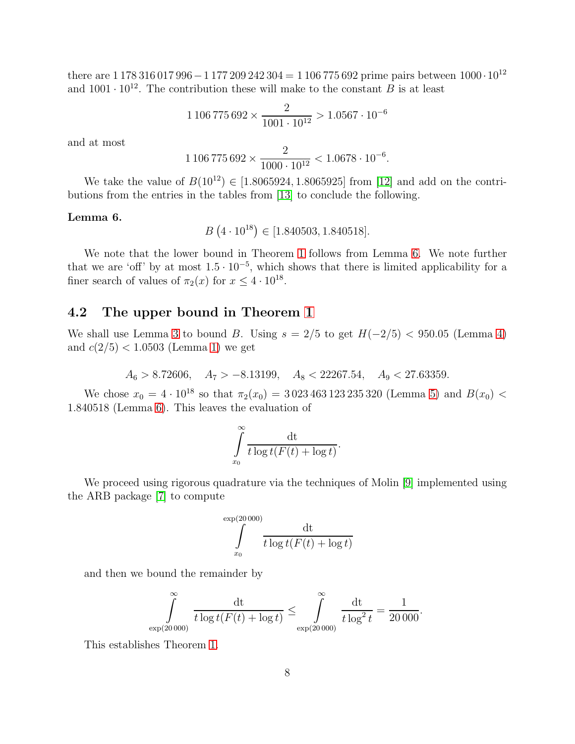there are  $1\,178\,316\,017\,996-1\,177\,209\,242\,304=1\,106\,775\,692$  prime pairs between  $1000\cdot10^{12}$ and  $1001 \cdot 10^{12}$ . The contribution these will make to the constant B is at least

$$
1106775692 \times \frac{2}{1001 \cdot 10^{12}} > 1.0567 \cdot 10^{-6}
$$

and at most

$$
1106\,775\,692 \times \frac{2}{1000 \cdot 10^{12}} < 1.0678 \cdot 10^{-6}.
$$

We take the value of  $B(10^{12}) \in [1.8065924, 1.8065925]$  from [\[12\]](#page-10-0) and add on the contributions from the entries in the tables from [\[13\]](#page-10-1) to conclude the following.

#### <span id="page-7-0"></span>Lemma 6.

$$
B(4 \cdot 10^{18}) \in [1.840503, 1.840518].
$$

We note that the lower bound in Theorem [1](#page-1-3) follows from Lemma [6.](#page-7-0) We note further that we are 'off' by at most  $1.5 \cdot 10^{-5}$ , which shows that there is limited applicability for a finer search of values of  $\pi_2(x)$  for  $x \leq 4 \cdot 10^{18}$ .

### 4.2 The upper bound in Theorem [1](#page-1-3)

We shall use Lemma [3](#page-4-2) to bound B. Using  $s = 2/5$  to get  $H(-2/5) < 950.05$  (Lemma [4\)](#page-5-0) and  $c(2/5) < 1.0503$  (Lemma [1\)](#page-2-5) we get

 $A_6 > 8.72606$ ,  $A_7 > -8.13199$ ,  $A_8 < 22267.54$ ,  $A_9 < 27.63359$ .

We chose  $x_0 = 4 \cdot 10^{18}$  so that  $\pi_2(x_0) = 3023\,463\,123\,235\,320$  (Lemma [5\)](#page-6-2) and  $B(x_0)$  < 1.840518 (Lemma [6\)](#page-7-0). This leaves the evaluation of

$$
\int_{x_0}^{\infty} \frac{\mathrm{dt}}{t \log t (F(t) + \log t)}.
$$

We proceed using rigorous quadrature via the techniques of Molin [\[9\]](#page-9-7) implemented using the ARB package [\[7\]](#page-9-8) to compute

$$
\int_{x_0}^{\exp(20\,000)} \frac{\mathrm{dt}}{t \log t (F(t) + \log t)}
$$

and then we bound the remainder by

$$
\int_{\exp(20\,000)}^{\infty} \frac{dt}{t \log t (F(t) + \log t)} \leq \int_{\exp(20\,000)}^{\infty} \frac{dt}{t \log^2 t} = \frac{1}{20\,000}.
$$

This establishes Theorem [1.](#page-1-3)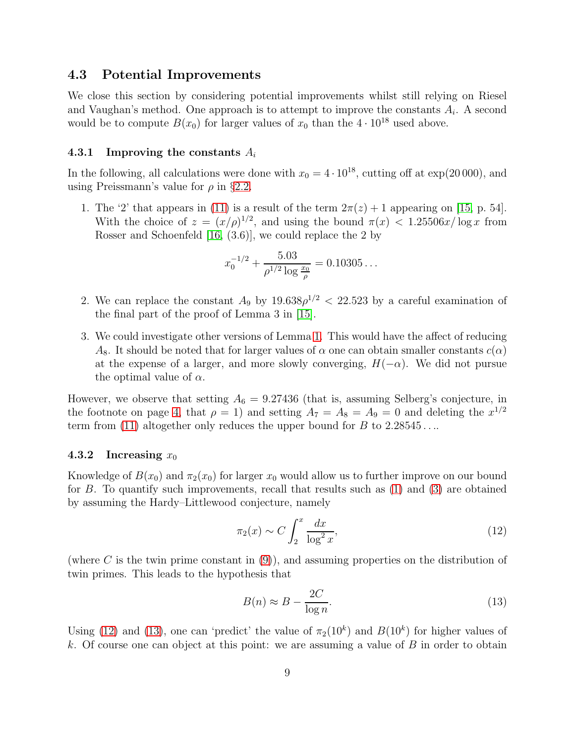### <span id="page-8-0"></span>4.3 Potential Improvements

We close this section by considering potential improvements whilst still relying on Riesel and Vaughan's method. One approach is to attempt to improve the constants  $A_i$ . A second would be to compute  $B(x_0)$  for larger values of  $x_0$  than the  $4 \cdot 10^{18}$  used above.

#### 4.3.1 Improving the constants  $A_i$

In the following, all calculations were done with  $x_0 = 4 \cdot 10^{18}$ , cutting off at exp(20 000), and using Preissmann's value for  $\rho$  in §[2.2.](#page-3-4)

1. The '2' that appears in [\(11\)](#page-4-3) is a result of the term  $2\pi(z) + 1$  appearing on [\[15,](#page-10-3) p. 54]. With the choice of  $z = (x/\rho)^{1/2}$ , and using the bound  $\pi(x) < 1.25506x/\log x$  from Rosser and Schoenfeld [\[16,](#page-10-7) (3.6)], we could replace the 2 by

$$
x_0^{-1/2} + \frac{5.03}{\rho^{1/2} \log \frac{x_0}{\rho}} = 0.10305\dots
$$

- 2. We can replace the constant  $A_9$  by  $19.638\rho^{1/2} < 22.523$  by a careful examination of the final part of the proof of Lemma 3 in [\[15\]](#page-10-3).
- 3. We could investigate other versions of Lemma [1.](#page-2-5) This would have the affect of reducing  $A_8$ . It should be noted that for larger values of  $\alpha$  one can obtain smaller constants  $c(\alpha)$ at the expense of a larger, and more slowly converging,  $H(-\alpha)$ . We did not pursue the optimal value of  $\alpha$ .

However, we observe that setting  $A_6 = 9.27436$  (that is, assuming Selberg's conjecture, in the footnote on page [4,](#page-3-2) that  $\rho = 1$ ) and setting  $A_7 = A_8 = A_9 = 0$  and deleting the  $x^{1/2}$ term from [\(11\)](#page-4-3) altogether only reduces the upper bound for  $B$  to  $2.28545...$ 

#### 4.3.2 Increasing  $x_0$

Knowledge of  $B(x_0)$  and  $\pi_2(x_0)$  for larger  $x_0$  would allow us to further improve on our bound for  $B$ . To quantify such improvements, recall that results such as  $(1)$  and  $(3)$  are obtained by assuming the Hardy–Littlewood conjecture, namely

<span id="page-8-1"></span>
$$
\pi_2(x) \sim C \int_2^x \frac{dx}{\log^2 x},\tag{12}
$$

(where C is the twin prime constant in  $(9)$ ), and assuming properties on the distribution of twin primes. This leads to the hypothesis that

<span id="page-8-2"></span>
$$
B(n) \approx B - \frac{2C}{\log n}.\tag{13}
$$

Using [\(12\)](#page-8-1) and [\(13\)](#page-8-2), one can 'predict' the value of  $\pi_2(10^k)$  and  $B(10^k)$  for higher values of k. Of course one can object at this point: we are assuming a value of  $B$  in order to obtain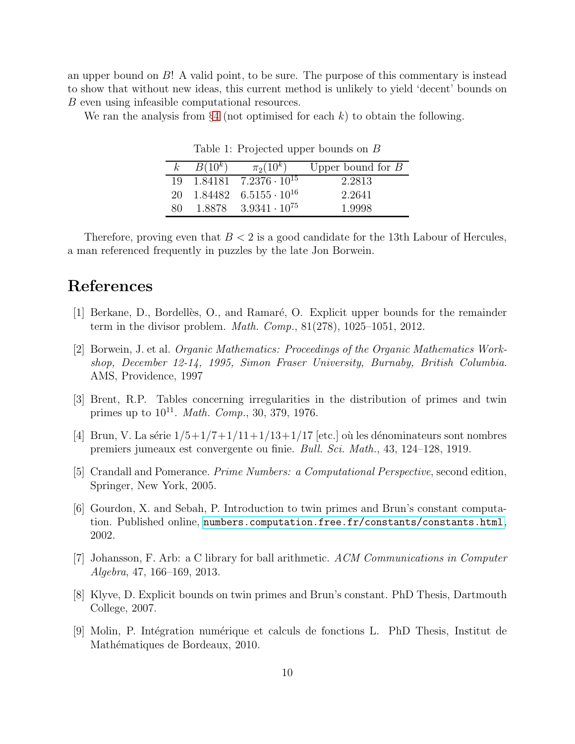an upper bound on B! A valid point, to be sure. The purpose of this commentary is instead to show that without new ideas, this current method is unlikely to yield 'decent' bounds on B even using infeasible computational resources.

We ran the analysis from  $\S 4$  $\S 4$  (not optimised for each k) to obtain the following.

| $\kappa$ | $B(10^k)$ | $\pi_2(10^k)$                                 | Upper bound for $B$ |
|----------|-----------|-----------------------------------------------|---------------------|
|          |           | $19 \quad 1.84181 \quad 7.2376 \cdot 10^{15}$ | 2.2813              |
| 20       |           | $1.84482 \quad 6.5155 \cdot 10^{16}$          | 2.2641              |
| 80.      |           | $1.8878$ $3.9341 \cdot 10^{75}$               | 1.9998              |

Table 1: Projected upper bounds on B

Therefore, proving even that  $B < 2$  is a good candidate for the 13th Labour of Hercules, a man referenced frequently in puzzles by the late Jon Borwein.

## <span id="page-9-6"></span>References

- <span id="page-9-5"></span>[1] Berkane, D., Bordellès, O., and Ramaré, O. Explicit upper bounds for the remainder term in the divisor problem. *Math. Comp.*, 81(278), 1025–1051, 2012.
- [2] Borwein, J. et al. *Organic Mathematics: Proceedings of the Organic Mathematics Workshop, December 12-14, 1995, Simon Fraser University, Burnaby, British Columbia*. AMS, Providence, 1997
- <span id="page-9-1"></span><span id="page-9-0"></span>[3] Brent, R.P. Tables concerning irregularities in the distribution of primes and twin primes up to  $10^{11}$ . *Math. Comp.*, 30, 379, 1976.
- <span id="page-9-4"></span>[4] Brun, V. La série  $1/5+1/7+1/11+1/13+1/17$  [etc.] où les dénominateurs sont nombres premiers jumeaux est convergente ou finie. *Bull. Sci. Math.*, 43, 124–128, 1919.
- <span id="page-9-3"></span>[5] Crandall and Pomerance. *Prime Numbers: a Computational Perspective*, second edition, Springer, New York, 2005.
- [6] Gourdon, X. and Sebah, P. Introduction to twin primes and Brun's constant computation. Published online, <numbers.computation.free.fr/constants/constants.html>, 2002.
- <span id="page-9-8"></span><span id="page-9-2"></span>[7] Johansson, F. Arb: a C library for ball arithmetic. *ACM Communications in Computer Algebra*, 47, 166–169, 2013.
- <span id="page-9-7"></span>[8] Klyve, D. Explicit bounds on twin primes and Brun's constant. PhD Thesis, Dartmouth College, 2007.
- [9] Molin, P. Int´egration num´erique et calculs de fonctions L. PhD Thesis, Institut de Mathématiques de Bordeaux, 2010.